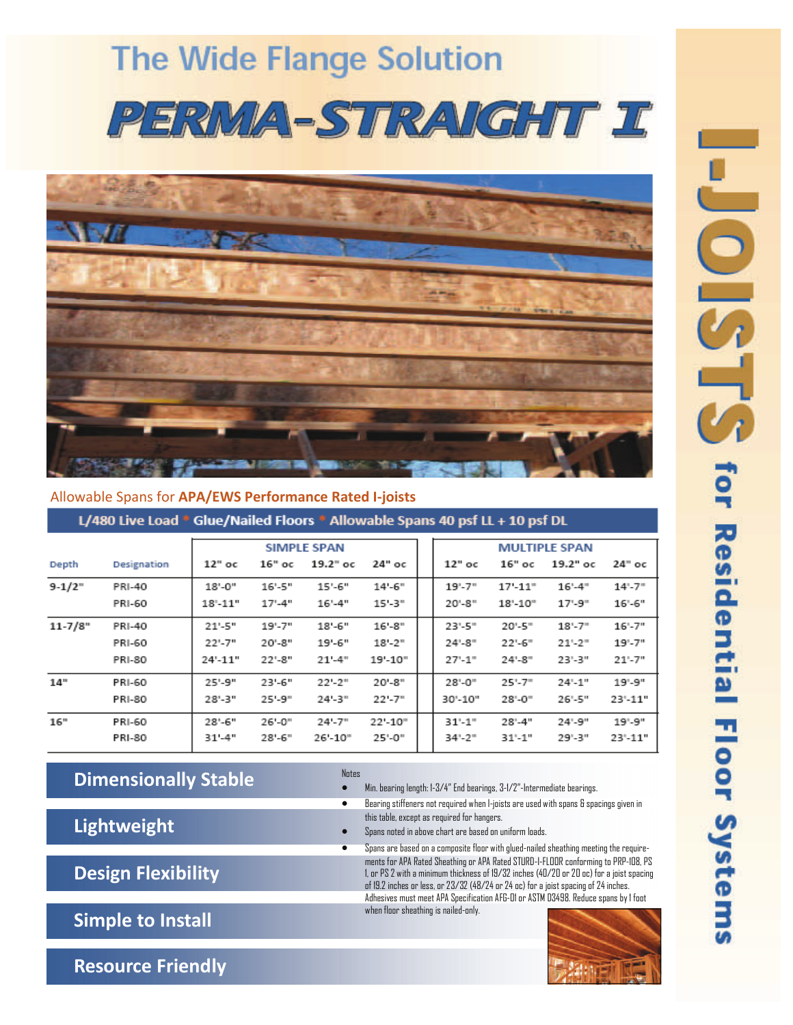# **The Wide Flange Solution** PERMA-STRAIGHT I



### Allowable Spans for **APA/EWS Performance Rated I‐joists**

L/480 Live Load \* Glue/Nailed Floors \* Allowable Spans 40 psf LL + 10 psf DL

|             |               | <b>SIMPLE SPAN</b> |             |             |                        | <b>MULTIPLE SPAN</b> |             |            |                 |
|-------------|---------------|--------------------|-------------|-------------|------------------------|----------------------|-------------|------------|-----------------|
| Depth       | Designation   | $12"$ oc           | $16"$ oc    | $19.2"$ oc  | 24" ос                 | $12"$ oc             | 16" ос      | $19.2"$ oc | $24^{\circ}$ oc |
| $9-1/2$     | <b>PRI-40</b> | $18 - 0$ "         | $16 - 5"$   | $15 - 6$ "  | $14 - 6"$              | $19 - 7"$            | $17 - 11$ " | $16 - 4$   | $14 - 7$ "      |
|             | <b>PRI-60</b> | $18 - 11"$         | $17 - 4"$   | $16 - 4"$   | $15 - 3"$              | $20 - 8$ "           | $18 - 10$   | $17 - 9$ " | $16 - 6"$       |
| $11 - 7/8"$ | <b>PRI-40</b> | 21'-5"             | $19' - 7''$ | $18 - 6"$   | $16 - 8$ "             | $23 - 5$ "           | $20 - 5$ "  | $18 - 7$   | $16 - 7"$       |
|             | <b>PRI-60</b> | 22'-7"             | $20 - 8"$   | 19'-6"      | $18 - 2"$              | $24 - 8$ "           | $22 - 6$ "  | $21 - 2$ " | $19 - 7"$       |
|             | <b>PRI-80</b> | $24 - 11"$         | $22 - 8"$   | $21 - 4"$   | $19 - 10"$             | $27 - 1$ "           | $24 - 8$    | 23'-3"     | $21 - 7"$       |
| 14"         | <b>PRI-60</b> | 25'-9"             | 23'-6"      | $22 - 2$ "  | $20 - 8$ "             | $28 - 0$ "           | $25 - 7$ "  | $24 - 1"$  | $19 - 9"$       |
|             | <b>PRI-80</b> | $28 - 3"$          | $25 - 9"$   | $24 - 3"$   | $22 - 7"$              | 30'-10"              | $28 - 0$    | $26 - 5"$  | 23'-11"         |
| 16"         | <b>PRI-60</b> | 28'-6"             | $26 - 0"$   | $24 - 7"$   | $22 - 10$ <sup>*</sup> | $31 - 1$ "           | $28 - 4"$   | $24 - 9"$  | $19 - 9"$       |
|             | <b>PRI-80</b> | $31 - 4"$          | $28 - 6$ "  | $26 - 10$ " | $25 - 0$ "             | $34 - 2$             | $31 - 1"$   | 29'-3"     | 23'-11"         |

# **Dimensionally Stable**

 **Lightweight**

 **Design Flexibility**

 **Simple to Install**

 **Resource Friendly**

### Notes

• Min. bearing length: 1-3/4" End bearings, 3-1/2"-Intermediate bearings.

- Bearing stiffeners not required when I-joists are used with spans & spacings given in this table, except as required for hangers.
- Spans noted in above chart are based on uniform loads.
	- Spans are based on a composite floor with glued-nailed sheathing meeting the requirements for APA Rated Sheathing or APA Rated STURD-I-FLOOR conforming to PRP-108, PS 1, or PS 2 with a minimum thickness of 19/32 inches (40/20 or 20 oc) for a joist spacing of 19.2 inches or less, or 23/32 (48/24 or 24 oc) for a joist spacing of 24 inches. Adhesives must meet APA Specification AFG-01 or ASTM D3498. Reduce spans by 1 foot when floor sheathing is nailed-only.